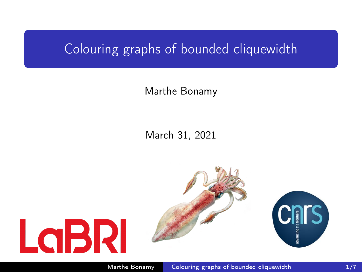## <span id="page-0-0"></span>Colouring graphs of bounded cliquewidth

## Marthe Bonamy

## March 31, 2021

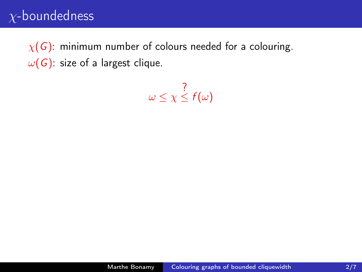$\chi(G)$ : minimum number of colours needed for a colouring.  $\omega(G)$ : size of a largest clique.

 $\omega \leq \chi$ ?  $\leq f(\omega)$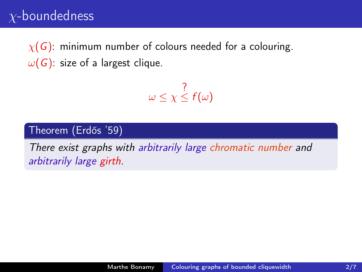$\chi(G)$ : minimum number of colours needed for a colouring.  $\omega(G)$ : size of a largest clique.

$$
\omega \leq \chi \leq f(\omega)
$$

#### Theorem (Erdős '59)

There exist graphs with arbitrarily large chromatic number and arbitrarily large girth.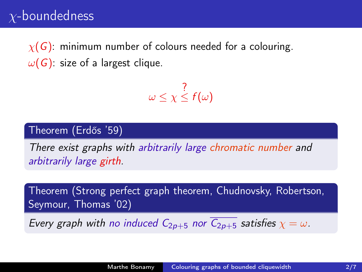$\chi(G)$ : minimum number of colours needed for a colouring.  $\omega(G)$ : size of a largest clique.

$$
\omega \leq \chi \leq f(\omega)
$$

#### Theorem (Erdős '59)

There exist graphs with arbitrarily large chromatic number and arbitrarily large girth.

Theorem (Strong perfect graph theorem, Chudnovsky, Robertson, Seymour, Thomas '02) Every graph with no induced  $C_{2p+5}$  nor  $\overline{C_{2p+5}}$  satisfies  $\chi = \omega$ .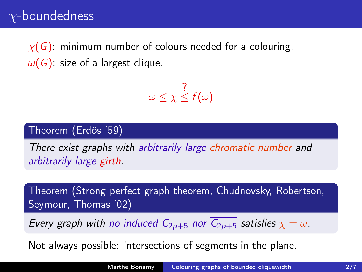$\chi(G)$ : minimum number of colours needed for a colouring.  $\omega(G)$ : size of a largest clique.

$$
\omega \leq \chi \leq f(\omega)
$$

#### Theorem (Erdős '59)

There exist graphs with arbitrarily large chromatic number and arbitrarily large girth.

Theorem (Strong perfect graph theorem, Chudnovsky, Robertson, Seymour, Thomas '02)

Every graph with no induced  $C_{2p+5}$  nor  $\overline{C_{2p+5}}$  satisfies  $\chi = \omega$ .

Not always possible: intersections of segments in the plane.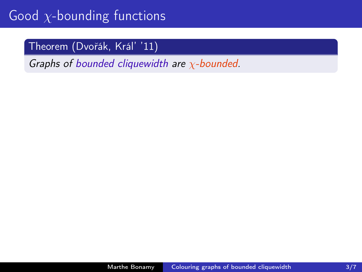## Theorem (Dvořák, Král' '11)

Graphs of bounded cliquewidth are  $\chi$ -bounded.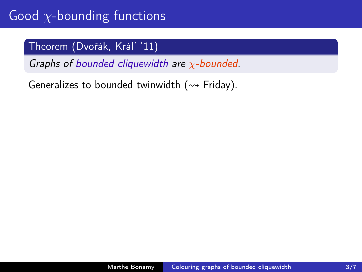## Theorem (Dvořák, Král' '11)

Graphs of bounded cliquewidth are  $\chi$ -bounded.

Generalizes to bounded twinwidth ( $\rightsquigarrow$  Friday).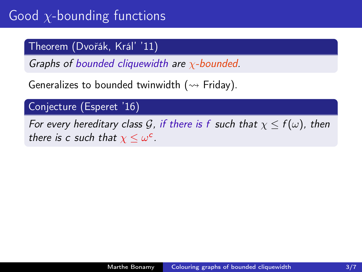## Theorem (Dvořák, Král' '11)

Graphs of bounded cliquewidth are  $\chi$ -bounded.

Generalizes to bounded twinwidth ( $\rightarrow$  Friday).

## Conjecture (Esperet '16)

For every hereditary class G, if there is f such that  $\chi \le f(\omega)$ , then there is c such that  $\chi \leq \omega^c$ .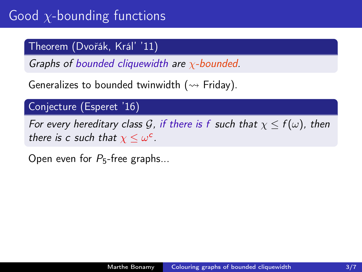## Theorem (Dvořák, Král' '11)

Graphs of bounded cliquewidth are  $\chi$ -bounded.

Generalizes to bounded twinwidth ( $\rightarrow$  Friday).

## Conjecture (Esperet '16)

For every hereditary class G, if there is f such that  $\chi \le f(\omega)$ , then there is c such that  $\chi \leq \omega^c$ .

Open even for  $P_5$ -free graphs...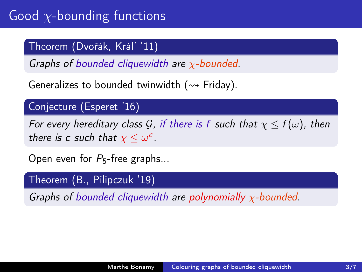## Theorem (Dvořák, Král' '11)

Graphs of bounded cliquewidth are  $\chi$ -bounded.

Generalizes to bounded twinwidth ( $\rightarrow$  Friday).

## Conjecture (Esperet '16)

For every hereditary class G, if there is f such that  $\chi < f(\omega)$ , then there is c such that  $\chi \leq \omega^c$ .

Open even for  $P_5$ -free graphs...

#### Theorem (B., Pilipczuk '19)

Graphs of bounded cliquewidth are polynomially  $\chi$ -bounded.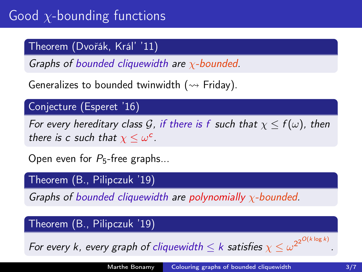## Theorem (Dvořák, Král' '11)

Graphs of bounded cliquewidth are  $\chi$ -bounded.

Generalizes to bounded twinwidth ( $\rightarrow$  Friday).

## Conjecture (Esperet '16)

For every hereditary class G, if there is f such that  $\chi < f(\omega)$ , then there is c such that  $\chi \leq \omega^c$ .

Open even for  $P_5$ -free graphs...

#### Theorem (B., Pilipczuk '19)

Graphs of bounded cliquewidth are polynomially  $\chi$ -bounded.

### Theorem (B., Pilipczuk '19)

For every k, every graph of cliquewidth  $\leq k$  satisfies  $\chi \leq \omega^{2^{2^{O(k\log k)}}}$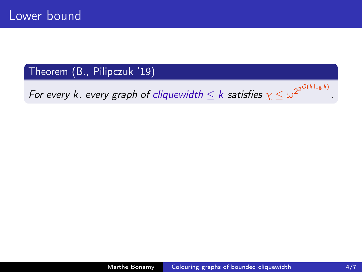For every k, every graph of cliquewidth  $\leq k$  satisfies  $\chi \leq \omega^{2^{2^{O(k\log k)}}}$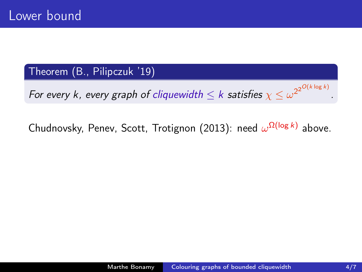For every k, every graph of cliquewidth  $\leq k$  satisfies  $\chi \leq \omega^{2^{2^{O(k\log k)}}}$ 

Chudnovsky, Penev, Scott, Trotignon (2013): need  $\omega^{\Omega(\log k)}$  above.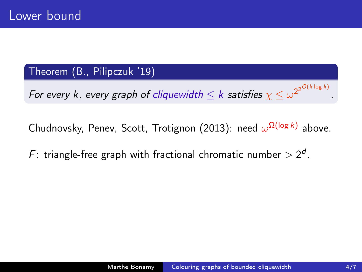For every k, every graph of cliquewidth  $\leq k$  satisfies  $\chi \leq \omega^{2^{2^{O(k\log k)}}}$ 

Chudnovsky, Penev, Scott, Trotignon (2013): need  $\omega^{\Omega(\log k)}$  above.

F: triangle-free graph with fractional chromatic number  $> 2<sup>d</sup>$ .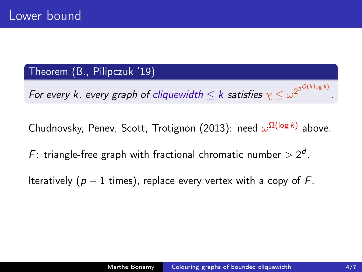For every k, every graph of cliquewidth  $\leq k$  satisfies  $\chi \leq \omega^{2^{2^{O(k\log k)}}}$ 

Chudnovsky, Penev, Scott, Trotignon (2013): need  $\omega^{\Omega(\log k)}$  above.

F: triangle-free graph with fractional chromatic number  $> 2<sup>d</sup>$ .

Iteratively ( $p - 1$  times), replace every vertex with a copy of F.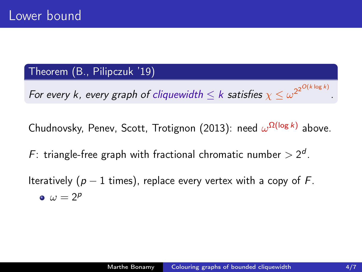For every k, every graph of cliquewidth  $\leq k$  satisfies  $\chi \leq \omega^{2^{2^{O(k\log k)}}}$ 

Chudnovsky, Penev, Scott, Trotignon (2013): need  $\omega^{\Omega(\log k)}$  above.

F: triangle-free graph with fractional chromatic number  $> 2<sup>d</sup>$ .

Iteratively ( $p - 1$  times), replace every vertex with a copy of F.  $\omega = 2^p$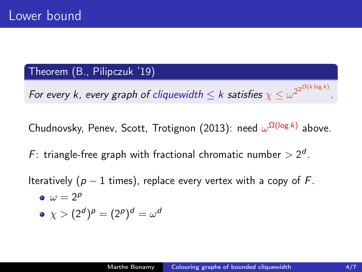For every k, every graph of cliquewidth  $\leq k$  satisfies  $\chi \leq \omega^{2^{2^{O(k\log k)}}}$ 

Chudnovsky, Penev, Scott, Trotignon (2013): need  $\omega^{\Omega(\log k)}$  above.

F: triangle-free graph with fractional chromatic number  $> 2<sup>d</sup>$ .

Iteratively ( $p - 1$  times), replace every vertex with a copy of F.

$$
\bullet \ \omega = 2^p
$$

$$
\bullet \ \ \chi > (2^d)^p = (2^p)^d = \omega^d
$$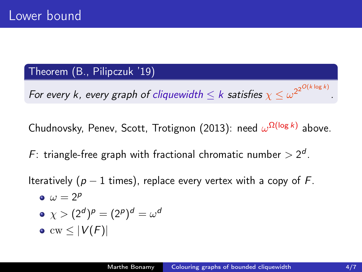For every k, every graph of cliquewidth  $\leq k$  satisfies  $\chi \leq \omega^{2^{2^{O(k\log k)}}}$ 

Chudnovsky, Penev, Scott, Trotignon (2013): need  $\omega^{\Omega(\log k)}$  above.

F: triangle-free graph with fractional chromatic number  $> 2<sup>d</sup>$ .

Iteratively ( $p - 1$  times), replace every vertex with a copy of F.

$$
\bullet \ \omega = 2^p
$$

$$
\bullet \ \chi > (2^d)^p = (2^p)^d = \omega^d
$$

 $\bullet$  cw  $\leq |V(F)|$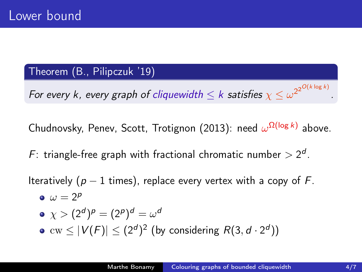For every k, every graph of cliquewidth  $\leq k$  satisfies  $\chi \leq \omega^{2^{2^{O(k\log k)}}}$ 

Chudnovsky, Penev, Scott, Trotignon (2013): need  $\omega^{\Omega(\log k)}$  above.

F: triangle-free graph with fractional chromatic number  $> 2<sup>d</sup>$ .

Iteratively ( $p - 1$  times), replace every vertex with a copy of F.

$$
\bullet \ \omega = 2^p
$$

$$
\bullet \ \chi > (2^d)^p = (2^p)^d = \omega^d
$$

 $\text{cw} \leq |V(F)| \leq (2^d)^2$  (by considering  $R(3, d \cdot 2^d))$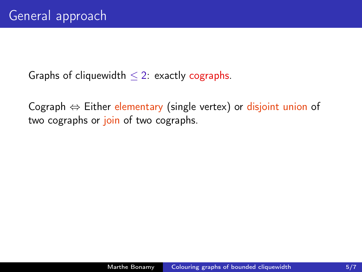Cograph  $\Leftrightarrow$  Either elementary (single vertex) or disjoint union of two cographs or join of two cographs.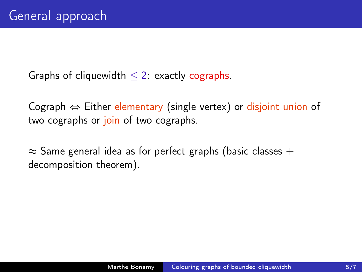Cograph  $\Leftrightarrow$  Either elementary (single vertex) or disjoint union of two cographs or join of two cographs.

 $\approx$  Same general idea as for perfect graphs (basic classes + decomposition theorem).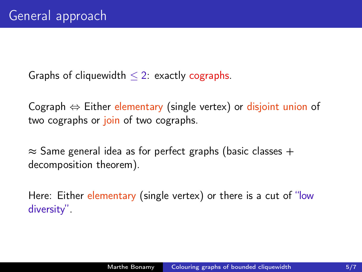Cograph  $\Leftrightarrow$  Either elementary (single vertex) or disjoint union of two cographs or join of two cographs.

 $\approx$  Same general idea as for perfect graphs (basic classes + decomposition theorem).

Here: Either elementary (single vertex) or there is a cut of "low diversity".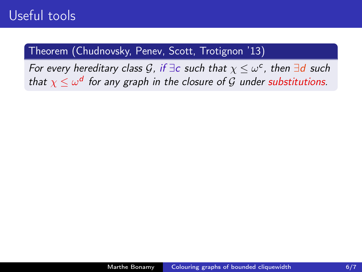For every hereditary class G, if  $\exists c$  such that  $\chi \leq \omega^c$ , then  $\exists d$  such that  $\chi \leq \omega^d$  for any graph in the closure of  ${\mathcal G}$  under substitutions.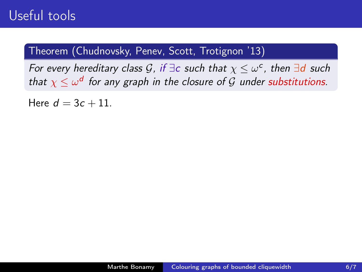For every hereditary class G, if  $\exists c$  such that  $\chi \leq \omega^c$ , then  $\exists d$  such that  $\chi \leq \omega^d$  for any graph in the closure of  ${\mathcal G}$  under substitutions.

Here  $d = 3c + 11$ .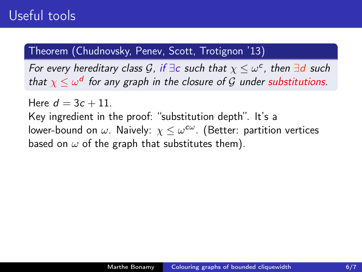For every hereditary class G, if  $\exists c$  such that  $\chi \leq \omega^c$ , then  $\exists d$  such that  $\chi \leq \omega^d$  for any graph in the closure of  ${\mathcal G}$  under substitutions.

Here  $d = 3c + 11$ . Key ingredient in the proof: "substitution depth". It's a lower-bound on  $\omega$ . Naively:  $\chi \leq \omega^{c\omega}$ . (Better: partition vertices based on  $\omega$  of the graph that substitutes them).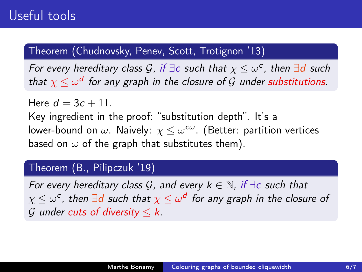For every hereditary class G, if  $\exists c$  such that  $\chi \leq \omega^c$ , then  $\exists d$  such that  $\chi \leq \omega^d$  for any graph in the closure of  ${\mathcal G}$  under substitutions.

Here  $d = 3c + 11$ . Key ingredient in the proof: "substitution depth". It's a lower-bound on  $\omega$ . Naively:  $\chi \leq \omega^{c\omega}$ . (Better: partition vertices based on  $\omega$  of the graph that substitutes them).

#### Theorem (B., Pilipczuk '19)

For every hereditary class G, and every  $k \in \mathbb{N}$ , if  $\exists c$  such that  $\chi\leq\omega^{\mathsf{c}}$  , then  $\exists{\mathsf{d}}$  such that  $\chi\leq\omega^{\mathsf{d}}$  for any graph in the closure of G under cuts of diversity  $\leq k$ .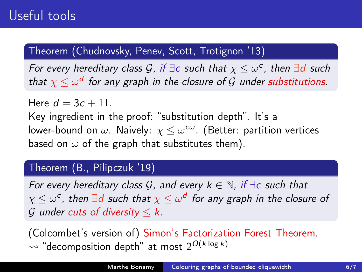For every hereditary class G, if  $\exists c$  such that  $\chi \leq \omega^c$ , then  $\exists d$  such that  $\chi \leq \omega^d$  for any graph in the closure of  ${\mathcal G}$  under substitutions.

Here  $d = 3c + 11$ . Key ingredient in the proof: "substitution depth". It's a lower-bound on  $\omega$ . Naively:  $\chi \leq \omega^{c\omega}$ . (Better: partition vertices based on  $\omega$  of the graph that substitutes them).

### Theorem (B., Pilipczuk '19)

For every hereditary class G, and every  $k \in \mathbb{N}$ , if  $\exists c$  such that  $\chi\leq\omega^{\mathsf{c}}$  , then  $\exists{\mathsf{d}}$  such that  $\chi\leq\omega^{\mathsf{d}}$  for any graph in the closure of G under cuts of diversity  $\leq k$ .

(Colcombet's version of) Simon's Factorization Forest Theorem.  $\rightsquigarrow$  "decomposition depth" at most 2<sup>O(k log k)</sup>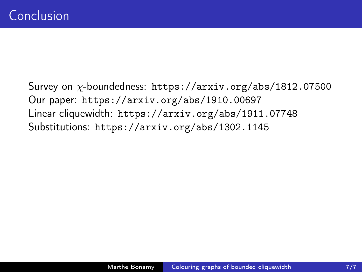Survey on χ-boundedness: <https://arxiv.org/abs/1812.07500> Our paper: <https://arxiv.org/abs/1910.00697> Linear cliquewidth: <https://arxiv.org/abs/1911.07748> Substitutions: <https://arxiv.org/abs/1302.1145>